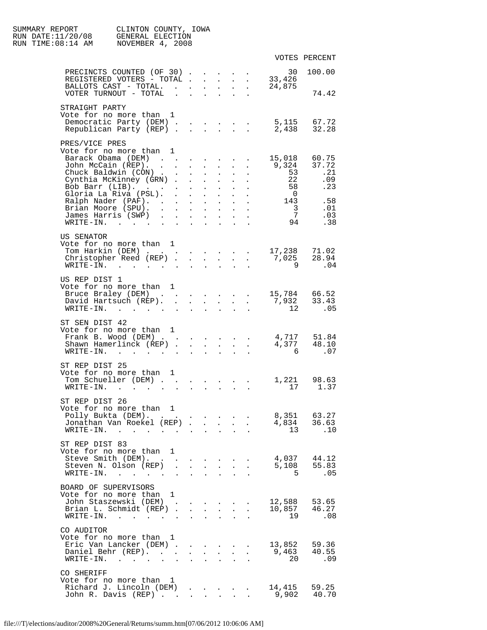| SUMMARY REPORT<br>RUN DATE:11/20/08<br>RUN TIME:08:14 AM | CLINTON COUNTY, IOWA<br>GENERAL ELECTION<br>NOVEMBER 4, 2008                             |                                                     |                      |                               |                                                           |                                     |                                                                               |                                            |                              |
|----------------------------------------------------------|------------------------------------------------------------------------------------------|-----------------------------------------------------|----------------------|-------------------------------|-----------------------------------------------------------|-------------------------------------|-------------------------------------------------------------------------------|--------------------------------------------|------------------------------|
|                                                          |                                                                                          |                                                     |                      |                               |                                                           |                                     |                                                                               |                                            | VOTES PERCENT                |
|                                                          | PRECINCTS COUNTED (OF 30)<br>REGISTERED VOTERS - TOTAL                                   |                                                     |                      |                               |                                                           |                                     |                                                                               | 30<br>33,426                               | 100.00                       |
|                                                          | BALLOTS CAST - TOTAL.<br>VOTER TURNOUT - TOTAL                                           |                                                     |                      | $\sim 10^{-10}$               | $\sim$ $\sim$                                             | $\sim$<br>$\mathbf{L} = \mathbf{L}$ |                                                                               | 24,875                                     | 74.42                        |
| STRAIGHT PARTY                                           | Vote for no more than 1                                                                  |                                                     |                      |                               |                                                           |                                     |                                                                               |                                            |                              |
|                                                          | Democratic Party (DEM) 5,115 67.72<br>Republican Party (REP)                             |                                                     |                      |                               | $\Delta \sim 10^{-11}$                                    | $\mathbf{L}$                        |                                                                               | 2,438 32.28                                |                              |
| PRES/VICE PRES<br>Barack Obama (DEM)                     | Vote for no more than                                                                    | $\mathbf{1}$<br>the contract of the contract of the |                      |                               |                                                           |                                     |                                                                               | 15,018                                     | 60.75                        |
|                                                          | John McCain (REP).                                                                       |                                                     |                      | $\mathbf{L}$ and $\mathbf{L}$ | $\mathbf{r}$ . The set of $\mathbf{r}$                    |                                     | $\ddot{\phantom{a}}$                                                          | 9,324                                      | 37.72                        |
|                                                          | Chuck Baldwin (CON)                                                                      |                                                     |                      | $\mathbf{L}^{\text{max}}$     | $\sim 100$                                                | $\sim$ 100 $\pm$                    |                                                                               | $\frac{53}{1}$                             | .21                          |
|                                                          | Cynthia McKinney (GRN)<br>Bob Barr (LIB).                                                |                                                     |                      | $\mathbf{L}$                  | $\mathbf{L}^{\text{max}}$                                 | $\sim$<br><b>All Contracts</b>      |                                                                               | 22<br>58                                   | .09<br>.23                   |
|                                                          | Gloria La Riva (PSL).                                                                    |                                                     |                      |                               |                                                           | $\mathbf{L}$ and $\mathbf{L}$       |                                                                               | $\overline{0}$                             |                              |
|                                                          | Ralph Nader (PAF).                                                                       |                                                     |                      | $\mathbf{L}^{\text{max}}$     |                                                           |                                     | $\mathbf{r} = \mathbf{r} + \mathbf{r}$ , where $\mathbf{r} = \mathbf{r}$      | 143                                        | .58                          |
|                                                          | Brian Moore (SPU)<br>James Harris (SWP)                                                  |                                                     |                      |                               | $\mathbf{r} = \mathbf{r} \cdot \mathbf{r}$                |                                     |                                                                               | $\overline{\mathbf{3}}$<br>$7\overline{ }$ | .01<br>.03                   |
|                                                          | WRITE-IN.                                                                                |                                                     |                      | $\mathcal{L}^{\text{max}}$    | <b>Service Control</b>                                    | $\mathbf{L} = \mathbf{L}$           |                                                                               | $\frac{7}{94}$                             | .38                          |
| US SENATOR                                               |                                                                                          |                                                     |                      |                               |                                                           |                                     |                                                                               |                                            |                              |
|                                                          | Vote for no more than 1                                                                  |                                                     |                      |                               |                                                           |                                     |                                                                               |                                            |                              |
|                                                          | Tom Harkin (DEM) 17,238 71.02<br>Christopher Reed (REP) 7,025 28.94                      |                                                     |                      |                               |                                                           |                                     |                                                                               |                                            |                              |
|                                                          | $\texttt{WRTTE-IN.}$                                                                     |                                                     |                      |                               |                                                           |                                     |                                                                               | $\overline{9}$                             | .04                          |
|                                                          |                                                                                          |                                                     |                      |                               |                                                           |                                     |                                                                               |                                            |                              |
| US REP DIST 1                                            |                                                                                          |                                                     |                      |                               |                                                           |                                     |                                                                               |                                            |                              |
|                                                          | Vote for no more than 1                                                                  |                                                     |                      |                               |                                                           |                                     |                                                                               |                                            |                              |
|                                                          | Bruce Braley (DEM) 15,784 66.52<br>David Hartsuch (REP).                                 |                                                     |                      |                               | <b>All Contracts</b>                                      |                                     |                                                                               | 7,932                                      | 33.43                        |
|                                                          | $\texttt{WRITE-IN.}$                                                                     |                                                     |                      |                               | $\mathbf{L}^{\text{max}}$ , and $\mathbf{L}^{\text{max}}$ |                                     | $\mathbf{L} = \mathbf{L}$                                                     | 12                                         | .05                          |
|                                                          |                                                                                          |                                                     |                      |                               |                                                           |                                     |                                                                               |                                            |                              |
| ST SEN DIST 42                                           |                                                                                          |                                                     |                      |                               |                                                           |                                     |                                                                               |                                            |                              |
|                                                          | Vote for no more than 1<br>Frank B. Wood (DEM) 4,717 51.84                               |                                                     |                      |                               |                                                           |                                     |                                                                               |                                            |                              |
|                                                          | Shawn Hamerlinck (REP)                                                                   |                                                     |                      |                               |                                                           |                                     |                                                                               | $4,377$ $48.10$                            |                              |
| $WRITE-IN.$                                              | $\mathbf{r}$ , and $\mathbf{r}$ , and $\mathbf{r}$ , and $\mathbf{r}$ , and $\mathbf{r}$ |                                                     |                      |                               |                                                           | $\mathbf{r}$                        | $\sim$ $\sim$                                                                 | 6                                          | .07                          |
|                                                          |                                                                                          |                                                     |                      |                               |                                                           |                                     |                                                                               |                                            |                              |
| ST REP DIST 25                                           | Vote for no more than                                                                    | 1                                                   |                      |                               |                                                           |                                     |                                                                               |                                            |                              |
|                                                          | Tom Schueller (DEM) .                                                                    | $\mathbf{r}$                                        |                      |                               |                                                           |                                     | $\mathbf{r}$ , and $\mathbf{r}$ , and $\mathbf{r}$ , and $\mathbf{r}$         |                                            | 1,221 98.63                  |
| WRITE-IN.                                                | $\mathbf{L}$ $\mathbf{L}$                                                                | $\sim$                                              | $\mathbf{r}$         | $\ddot{\phantom{a}}$          | $\ddot{\phantom{a}}$                                      | $\ddot{\phantom{1}}$                |                                                                               |                                            | 17 1.37                      |
| ST REP DIST 26                                           |                                                                                          |                                                     |                      |                               |                                                           |                                     |                                                                               |                                            |                              |
|                                                          | Vote for no more than 1                                                                  |                                                     |                      |                               |                                                           |                                     |                                                                               |                                            |                              |
|                                                          | Polly Bukta (DEM).                                                                       |                                                     |                      |                               |                                                           |                                     |                                                                               |                                            | 8,351 63.27                  |
|                                                          | Jonathan Van Roekel (REP)                                                                |                                                     |                      |                               |                                                           |                                     | $\sim$                                                                        |                                            | 4,834 36.63                  |
|                                                          | $\texttt{WRTTE-IN.}$                                                                     |                                                     |                      |                               |                                                           |                                     |                                                                               | 13                                         | $\ldots$                     |
| ST REP DIST 83                                           |                                                                                          |                                                     |                      |                               |                                                           |                                     |                                                                               |                                            |                              |
|                                                          | Vote for no more than                                                                    | 1                                                   |                      |                               |                                                           |                                     |                                                                               |                                            |                              |
|                                                          | Steve Smith (DEM).                                                                       |                                                     |                      |                               |                                                           |                                     |                                                                               |                                            | 4,037 44.12                  |
|                                                          | Steven N. Olson (REP).<br>$\texttt{WRTTE-IN.}$                                           |                                                     |                      |                               |                                                           |                                     | $\mathbf{r} = \mathbf{r} + \mathbf{r} + \mathbf{r} + \mathbf{r} + \mathbf{r}$ | $5^{\circ}$                                | 5,108 55.83<br>.05           |
|                                                          |                                                                                          |                                                     | $\ddot{\phantom{a}}$ |                               |                                                           |                                     |                                                                               |                                            |                              |
| BOARD OF SUPERVISORS                                     |                                                                                          |                                                     |                      |                               |                                                           |                                     |                                                                               |                                            |                              |
|                                                          | Vote for no more than 1                                                                  |                                                     |                      |                               |                                                           |                                     |                                                                               |                                            |                              |
|                                                          | John Staszewski (DEM)<br>Brian L. Schmidt (REP)                                          |                                                     |                      |                               |                                                           | $\sim$                              | $\sim$                                                                        |                                            | 12,588 53.65<br>10,857 46.27 |
|                                                          | $\texttt{WRTTE-IN.}$                                                                     |                                                     | $\ddot{\phantom{a}}$ |                               |                                                           |                                     |                                                                               | 19                                         | .08                          |
|                                                          |                                                                                          |                                                     |                      |                               |                                                           |                                     |                                                                               |                                            |                              |
| CO AUDITOR                                               |                                                                                          |                                                     |                      |                               |                                                           |                                     |                                                                               |                                            |                              |
|                                                          | Vote for no more than 1<br>Eric Van Lancker (DEM)                                        |                                                     |                      |                               |                                                           |                                     |                                                                               | 13,852 59.36                               |                              |
|                                                          | Daniel Behr (REP).                                                                       |                                                     |                      | $\mathbf{L}$ and $\mathbf{L}$ | $\mathbf{r}$ . The set of $\mathbf{r}$                    |                                     | $\sim$                                                                        | 9,463 40.55                                |                              |
|                                                          | $WRITE-IN.$<br>$\sim$                                                                    | $\mathbf{r}$                                        | $\overline{a}$       |                               |                                                           |                                     |                                                                               | 20                                         | .09                          |
|                                                          |                                                                                          |                                                     |                      |                               |                                                           |                                     |                                                                               |                                            |                              |
| CO SHERIFF                                               | Vote for no more than 1                                                                  |                                                     |                      |                               |                                                           |                                     |                                                                               |                                            |                              |
|                                                          | Richard J. Lincoln (DEM)                                                                 |                                                     |                      |                               |                                                           |                                     |                                                                               | 14,415                                     | 59.25                        |
|                                                          | John R. Davis (REP)                                                                      |                                                     |                      |                               |                                                           |                                     |                                                                               | 9,902                                      | 40.70                        |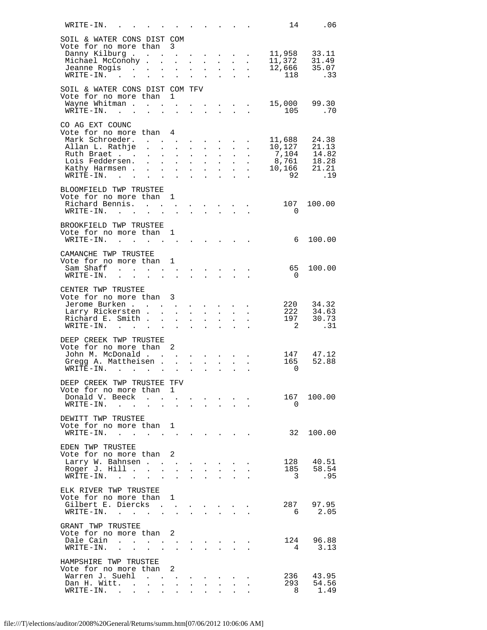| WRITE-IN.                                                      |                                                                                                                                  |                                                           |                                                                                                                                               |                                        |                                                   | $\mathbf{L}$ and $\mathbf{L}$ and $\mathbf{L}$            |                                              | 14                                                                     | .06                    |
|----------------------------------------------------------------|----------------------------------------------------------------------------------------------------------------------------------|-----------------------------------------------------------|-----------------------------------------------------------------------------------------------------------------------------------------------|----------------------------------------|---------------------------------------------------|-----------------------------------------------------------|----------------------------------------------|------------------------------------------------------------------------|------------------------|
| SOIL & WATER CONS DIST COM                                     |                                                                                                                                  |                                                           |                                                                                                                                               |                                        |                                                   |                                                           |                                              |                                                                        |                        |
| Vote for no more than                                          |                                                                                                                                  | 3                                                         |                                                                                                                                               |                                        |                                                   |                                                           |                                              |                                                                        |                        |
| Danny Kilburg 11,958 33.11<br>Michael McConohy                 |                                                                                                                                  |                                                           | $\mathbf{1}^{\prime}$ , $\mathbf{1}^{\prime}$ , $\mathbf{1}^{\prime}$ , $\mathbf{1}^{\prime}$ , $\mathbf{1}^{\prime}$ , $\mathbf{1}^{\prime}$ |                                        |                                                   |                                                           | $\mathbf{u} = \mathbf{u} \cdot \mathbf{u}$ . |                                                                        |                        |
| Jeanne Rogis                                                   |                                                                                                                                  | $\sim 100$                                                |                                                                                                                                               | $\mathbf{L} = \mathbf{L}$              | $\mathbf{L}^{\text{max}}$                         | $\sim$                                                    | $\ddot{\phantom{a}}$                         | 11,372 31.49<br>12,666 35.07                                           |                        |
| $\texttt{WRITE-IN.} \qquad \qquad \ldots \qquad \qquad \ldots$ |                                                                                                                                  |                                                           | $\mathbf{L}^{\text{max}}$ , and $\mathbf{L}^{\text{max}}$                                                                                     |                                        | $\Delta \sim 10^4$                                | $\mathbf{r}$                                              | $\sim$                                       | 118 .33                                                                |                        |
| SOIL & WATER CONS DIST COM TFV                                 |                                                                                                                                  |                                                           |                                                                                                                                               |                                        |                                                   |                                                           |                                              |                                                                        |                        |
| Vote for no more than 1                                        |                                                                                                                                  |                                                           |                                                                                                                                               |                                        |                                                   |                                                           |                                              |                                                                        |                        |
| Wayne Whitman                                                  |                                                                                                                                  | $\mathcal{L}^{\text{max}}$                                |                                                                                                                                               |                                        |                                                   |                                                           |                                              | $\cdot$ 15,000 99.30<br>$105$                                          |                        |
| $WRITE-IN.$                                                    | $\mathbf{r}$                                                                                                                     |                                                           |                                                                                                                                               |                                        | $\mathcal{L}^{\text{max}}$                        |                                                           |                                              |                                                                        |                        |
| CO AG EXT COUNC                                                |                                                                                                                                  |                                                           |                                                                                                                                               |                                        |                                                   |                                                           |                                              |                                                                        |                        |
| Vote for no more than 4<br>Mark Schroeder.                     |                                                                                                                                  |                                                           |                                                                                                                                               |                                        |                                                   |                                                           |                                              | . 11,688 24.38                                                         |                        |
| Allan L. Rathje                                                |                                                                                                                                  |                                                           | $\mathbf{u} = \mathbf{u} \cdot \mathbf{u}$ .                                                                                                  | $\Delta \sim 100$                      | $\mathbf{A}^{\mathrm{max}}$                       | $\mathbf{L}^{\text{max}}$                                 | $\sim$                                       |                                                                        |                        |
| Ruth Braet                                                     |                                                                                                                                  | $\mathbf{L}^{\text{max}}$ , and $\mathbf{L}^{\text{max}}$ | $\mathcal{L}^{\text{max}}$                                                                                                                    | $\mathbf{L}^{\text{max}}$              | $\sim$ 100 $\pm$                                  |                                                           |                                              | 10,127<br>7,104<br>7,104<br>14.82<br>8,761<br>18.28<br>10,166<br>21.21 |                        |
| Lois Feddersen.<br>Kathy Harmsen .                             | $\mathbf{L}$ and $\mathbf{L}$<br>$\mathbf{r} = \mathbf{r} \times \mathbf{r}$ , where $\mathbf{r} = \mathbf{r} \times \mathbf{r}$ |                                                           | $\mathcal{L}^{\text{max}}$ , where $\mathcal{L}^{\text{max}}$                                                                                 | $\mathbf{a} = \mathbf{0}$              | $\sim 10^{-11}$<br>$\sim$                         | $\mathcal{L}^{\text{max}}$                                |                                              |                                                                        |                        |
| $\texttt{WRITE-IN.}$                                           |                                                                                                                                  |                                                           | $\sim$                                                                                                                                        | $\sim$ $\sim$                          | $\ddot{\phantom{a}}$                              | $\ddot{\phantom{a}}$                                      | $\ddot{\phantom{a}}$                         | 92                                                                     | .19                    |
| BLOOMFIELD TWP TRUSTEE                                         |                                                                                                                                  |                                                           |                                                                                                                                               |                                        |                                                   |                                                           |                                              |                                                                        |                        |
| Vote for no more than 1                                        |                                                                                                                                  |                                                           |                                                                                                                                               |                                        |                                                   |                                                           |                                              |                                                                        |                        |
| Richard Bennis.                                                |                                                                                                                                  |                                                           |                                                                                                                                               |                                        |                                                   |                                                           |                                              | 107                                                                    | 100.00                 |
| $\texttt{WRTTE-IN.}$                                           |                                                                                                                                  | $\mathbf{L}$                                              |                                                                                                                                               |                                        | and the company of the company                    |                                                           |                                              | $\overline{0}$                                                         |                        |
| BROOKFIELD TWP TRUSTEE                                         |                                                                                                                                  |                                                           |                                                                                                                                               |                                        |                                                   |                                                           |                                              |                                                                        |                        |
| Vote for no more than 1<br>$\texttt{WRTTE-IN.}$                |                                                                                                                                  |                                                           |                                                                                                                                               |                                        |                                                   |                                                           |                                              | $6\overline{6}$                                                        | 100.00                 |
|                                                                |                                                                                                                                  |                                                           |                                                                                                                                               |                                        |                                                   |                                                           |                                              |                                                                        |                        |
| CAMANCHE TWP TRUSTEE                                           |                                                                                                                                  |                                                           |                                                                                                                                               |                                        |                                                   |                                                           |                                              |                                                                        |                        |
| Vote for no more than<br>Sam Shaff                             |                                                                                                                                  | $\mathbf{1}$                                              |                                                                                                                                               |                                        |                                                   |                                                           |                                              | 65                                                                     | 100.00                 |
|                                                                |                                                                                                                                  |                                                           |                                                                                                                                               |                                        |                                                   |                                                           |                                              | <u>ິດ</u>                                                              |                        |
|                                                                |                                                                                                                                  |                                                           |                                                                                                                                               |                                        |                                                   |                                                           |                                              |                                                                        |                        |
| CENTER TWP TRUSTEE<br>Vote for no more than 3                  |                                                                                                                                  |                                                           |                                                                                                                                               |                                        |                                                   |                                                           |                                              |                                                                        |                        |
| Jerome Burken                                                  |                                                                                                                                  |                                                           |                                                                                                                                               |                                        |                                                   |                                                           |                                              |                                                                        | 220 34.32<br>222 34.63 |
| Larry Rickersten<br>Richard E. Smith                           |                                                                                                                                  | $\mathbf{L}$                                              | $\mathbf{L}$                                                                                                                                  | $\mathbf{L}$<br>$\mathbf{A}^{(1)}$ and | $\mathbf{L}$                                      | $\mathbf{z} = \mathbf{z} + \mathbf{z}$                    |                                              |                                                                        | 197 30.73              |
| $\texttt{WRTTE-IN.}$                                           |                                                                                                                                  | $\mathbf{r}$ . The set of $\mathbf{r}$                    |                                                                                                                                               |                                        | $\mathbf{r} = \mathbf{r} \cdot \mathbf{r}$        |                                                           |                                              | $\overline{2}$                                                         | .31                    |
| DEEP CREEK TWP TRUSTEE                                         |                                                                                                                                  |                                                           |                                                                                                                                               |                                        |                                                   |                                                           |                                              |                                                                        |                        |
| Vote for no more than                                          |                                                                                                                                  | 2                                                         |                                                                                                                                               |                                        |                                                   |                                                           |                                              |                                                                        |                        |
| John M. McDonald                                               |                                                                                                                                  |                                                           |                                                                                                                                               |                                        | and a strong control of the state of              |                                                           |                                              |                                                                        | 147 47.12              |
| Gregg A. Mattheisen.<br>$WRI\overline{TE}-IN$ .                |                                                                                                                                  | $\ddot{\phantom{a}}$                                      | $\mathbf{L} = \mathbf{L}$<br>$\mathbf{r}$                                                                                                     | $\mathbf{L}^{\text{max}}$              |                                                   | $\mathbf{L}^{\text{max}}$ , and $\mathbf{L}^{\text{max}}$ |                                              | 165<br>$\Omega$                                                        | 52.88                  |
|                                                                |                                                                                                                                  |                                                           |                                                                                                                                               |                                        |                                                   |                                                           |                                              |                                                                        |                        |
| DEEP CREEK TWP TRUSTEE TFV                                     |                                                                                                                                  |                                                           |                                                                                                                                               |                                        |                                                   |                                                           |                                              |                                                                        |                        |
| Vote for no more than<br>Donald V. Beeck                       |                                                                                                                                  | $\mathbf{1}$                                              |                                                                                                                                               |                                        | $\bullet$ . In the case of the case of $\bullet$  |                                                           |                                              |                                                                        | 167 100.00             |
| WRITE-IN.                                                      |                                                                                                                                  |                                                           |                                                                                                                                               |                                        |                                                   |                                                           |                                              | $\Omega$                                                               |                        |
| DEWITT TWP TRUSTEE                                             |                                                                                                                                  |                                                           |                                                                                                                                               |                                        |                                                   |                                                           |                                              |                                                                        |                        |
| Vote for no more than 1                                        |                                                                                                                                  |                                                           |                                                                                                                                               |                                        |                                                   |                                                           |                                              |                                                                        |                        |
| WRITE-IN.                                                      |                                                                                                                                  |                                                           |                                                                                                                                               |                                        |                                                   |                                                           |                                              |                                                                        | 32 100.00              |
| EDEN TWP TRUSTEE                                               |                                                                                                                                  |                                                           |                                                                                                                                               |                                        |                                                   |                                                           |                                              |                                                                        |                        |
| Vote for no more than 2                                        |                                                                                                                                  |                                                           |                                                                                                                                               |                                        |                                                   |                                                           |                                              |                                                                        |                        |
| Larry W. Bahnsen<br>Roger J. Hill                              | $\sim$                                                                                                                           | $\mathbf{L}$                                              |                                                                                                                                               | $\mathbf{L} = \mathbf{L}$              | $\sim$                                            |                                                           |                                              | 128                                                                    | 40.51<br>185 58.54     |
| WRITE-IN.                                                      |                                                                                                                                  | $\ddot{\phantom{a}}$                                      | $\ddot{\phantom{a}}$                                                                                                                          |                                        | $\mathbf{r}$                                      |                                                           |                                              | $\overline{\mathbf{3}}$                                                | .95                    |
|                                                                |                                                                                                                                  |                                                           |                                                                                                                                               |                                        |                                                   |                                                           |                                              |                                                                        |                        |
| ELK RIVER TWP TRUSTEE<br>Vote for no more than 1               |                                                                                                                                  |                                                           |                                                                                                                                               |                                        |                                                   |                                                           |                                              |                                                                        |                        |
| Gilbert E. Diercks .                                           |                                                                                                                                  |                                                           | $\mathbf{r} = \mathbf{r} + \mathbf{r} + \mathbf{r} + \mathbf{r} + \mathbf{r} + \mathbf{r}$                                                    |                                        |                                                   |                                                           |                                              |                                                                        | 287 97.95              |
| $\texttt{WRTTE-IN.}$                                           |                                                                                                                                  | $\mathbf{r}$                                              | $\mathbf{L}^{\text{max}}$                                                                                                                     |                                        | $\Delta \sim 10$                                  |                                                           |                                              | 6                                                                      | 2.05                   |
| GRANT TWP TRUSTEE                                              |                                                                                                                                  |                                                           |                                                                                                                                               |                                        |                                                   |                                                           |                                              |                                                                        |                        |
| Vote for no more than 2                                        |                                                                                                                                  |                                                           |                                                                                                                                               |                                        |                                                   |                                                           |                                              |                                                                        |                        |
| Dale Cain<br>WRITE-IN.                                         |                                                                                                                                  |                                                           |                                                                                                                                               |                                        | $\bullet$ . In the case of the contract $\bullet$ |                                                           |                                              | 4                                                                      | 124 96.88<br>3.13      |
|                                                                |                                                                                                                                  |                                                           |                                                                                                                                               |                                        |                                                   |                                                           |                                              |                                                                        |                        |
| HAMPSHIRE TWP TRUSTEE<br>Vote for no more than                 |                                                                                                                                  | 2                                                         |                                                                                                                                               |                                        |                                                   |                                                           |                                              |                                                                        |                        |
| Warren J. Suehl                                                |                                                                                                                                  |                                                           |                                                                                                                                               |                                        |                                                   |                                                           |                                              |                                                                        | 236 43.95              |
| Dan H. Witt. .                                                 | $\ddot{\phantom{a}}$                                                                                                             | $\ddot{\phantom{a}}$                                      | $\mathbf{L}$                                                                                                                                  |                                        | $\sim$                                            |                                                           |                                              |                                                                        | 293 54.56              |
| $\texttt{WRTTE-IN.}$                                           | $\bullet$ .<br>$\bullet$                                                                                                         |                                                           |                                                                                                                                               |                                        |                                                   |                                                           |                                              | 8                                                                      | 1.49                   |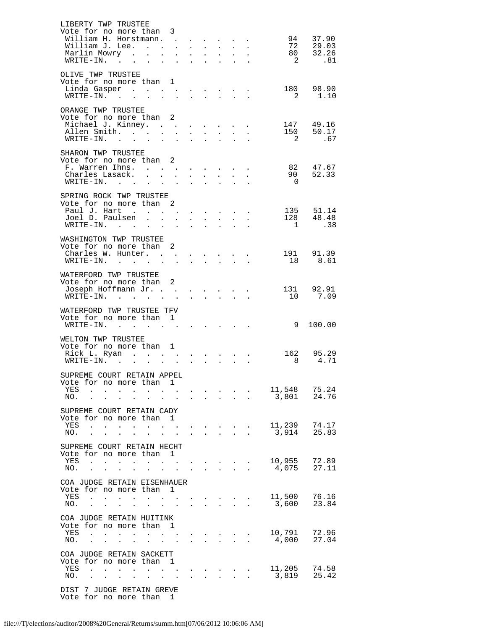| LIBERTY TWP TRUSTEE<br>Vote for no more than 3                |                                                |                              |                                                |                           |                           |                                                                                                 |                                                                                     |                      |                            |                                  |
|---------------------------------------------------------------|------------------------------------------------|------------------------------|------------------------------------------------|---------------------------|---------------------------|-------------------------------------------------------------------------------------------------|-------------------------------------------------------------------------------------|----------------------|----------------------------|----------------------------------|
| William H. Horstmann.                                         |                                                |                              |                                                |                           |                           | $\mathbf{L} = \mathbf{L} \mathbf{L}$                                                            | $\sim$ $-$                                                                          | $\ddot{\phantom{0}}$ |                            | 94 37.90                         |
| William J. Lee.                                               |                                                |                              |                                                |                           |                           |                                                                                                 |                                                                                     | $\ddot{\phantom{a}}$ |                            | 72       29.03<br>80       32.26 |
| Marlin Mowry                                                  |                                                |                              | $\mathbf{L} = \mathbf{L}$                      |                           | $\mathbf{z} = \mathbf{z}$ | $\mathcal{L}^{\text{max}}$                                                                      | $\sim 100$                                                                          |                      |                            |                                  |
| WRITE-IN.                                                     |                                                |                              |                                                |                           |                           |                                                                                                 |                                                                                     |                      | $\overline{\mathbf{c}}$    | .81                              |
| OLIVE TWP TRUSTEE                                             |                                                |                              |                                                |                           |                           |                                                                                                 |                                                                                     |                      |                            |                                  |
| Vote for no more than 1                                       |                                                |                              |                                                |                           |                           |                                                                                                 |                                                                                     |                      |                            |                                  |
| Linda Gasper                                                  |                                                |                              |                                                |                           |                           |                                                                                                 |                                                                                     |                      |                            | 180 98.90                        |
| $\texttt{WRTTE-IN.}$                                          |                                                |                              | $\sim$                                         |                           | $\mathbf{L} = \mathbf{L}$ | $\sim$                                                                                          | $\mathbf{L} = \mathbf{L}$                                                           |                      | $\overline{\phantom{a}}$ 2 | 1.10                             |
| ORANGE TWP TRUSTEE                                            |                                                |                              |                                                |                           |                           |                                                                                                 |                                                                                     |                      |                            |                                  |
| Vote for no more than 2                                       |                                                |                              |                                                |                           |                           |                                                                                                 |                                                                                     |                      |                            |                                  |
| Michael J. Kinney.                                            |                                                |                              |                                                |                           |                           |                                                                                                 |                                                                                     |                      |                            | 147 49.16                        |
| Allen Smith.<br>$\texttt{WRTTE-IN.}$                          |                                                | $\sim$                       | $\sim$ 100 $\pm$                               | $\mathbf{L}$              | $\mathbb{Z}^{\mathbb{Z}}$ |                                                                                                 |                                                                                     | $\sim$               |                            | 150 50.17<br>2 .67               |
|                                                               |                                                |                              |                                                |                           |                           |                                                                                                 |                                                                                     |                      |                            |                                  |
| SHARON TWP TRUSTEE                                            |                                                |                              |                                                |                           |                           |                                                                                                 |                                                                                     |                      |                            |                                  |
| Vote for no more than 2                                       |                                                |                              |                                                |                           |                           |                                                                                                 |                                                                                     |                      |                            |                                  |
| F. Warren Ihns.<br>Charles Lasack.                            |                                                |                              |                                                |                           |                           | $\mathbf{r} = \mathbf{r} \times \mathbf{r}$ , where $\mathbf{r} = \mathbf{r} \times \mathbf{r}$ |                                                                                     | $\sim$               |                            | 82 47.67<br>90 52.33             |
| $WRITE-IN.$                                                   | $\sim$ $-$                                     | $\mathcal{L}^{\text{max}}$   | $\sim 10^{-11}$                                | $\sim$                    | $\sim$                    | $\sim$                                                                                          |                                                                                     |                      | $\overline{0}$             |                                  |
|                                                               |                                                |                              |                                                |                           |                           |                                                                                                 |                                                                                     |                      |                            |                                  |
| SPRING ROCK TWP TRUSTEE                                       |                                                |                              |                                                |                           |                           |                                                                                                 |                                                                                     |                      |                            |                                  |
| Vote for no more than 2<br>Paul J. Hart                       |                                                |                              | $\sim 10^{-11}$                                |                           |                           | $\mathbf{r} = \mathbf{r} \times \mathbf{r}$ , where $\mathbf{r} = \mathbf{r} \times \mathbf{r}$ |                                                                                     |                      |                            | 135 51.14                        |
| Joel D. Paulsen                                               |                                                |                              |                                                |                           |                           |                                                                                                 |                                                                                     | $\sim$               |                            | 128 48.48                        |
| $\texttt{WRTTE-IN.}$                                          |                                                |                              | $\sim 100$                                     |                           | $\sim$                    |                                                                                                 |                                                                                     |                      |                            | 1 .38                            |
|                                                               |                                                |                              |                                                |                           |                           |                                                                                                 |                                                                                     |                      |                            |                                  |
| WASHINGTON TWP TRUSTEE<br>Vote for no more than 2             |                                                |                              |                                                |                           |                           |                                                                                                 |                                                                                     |                      |                            |                                  |
| Charles W. Hunter.                                            |                                                |                              |                                                |                           |                           |                                                                                                 |                                                                                     |                      |                            | 191 91.39                        |
| WRITE-IN.                                                     |                                                |                              |                                                |                           |                           |                                                                                                 |                                                                                     |                      |                            | 18 8.61                          |
|                                                               |                                                |                              |                                                |                           |                           |                                                                                                 |                                                                                     |                      |                            |                                  |
| WATERFORD TWP TRUSTEE                                         |                                                |                              |                                                |                           |                           |                                                                                                 |                                                                                     |                      |                            |                                  |
| Vote for no more than 2<br>Joseph Hoffmann Jr.                |                                                |                              |                                                |                           |                           |                                                                                                 |                                                                                     |                      |                            | 131 92.91                        |
| $WRITE-IN.$                                                   |                                                | $\sim$                       | $\sim$                                         | $\mathbf{r}$              | $\mathbf{L}$              | $\mathbf{r}$                                                                                    | $\mathcal{L}^{\text{max}}$                                                          |                      |                            | 10 7.09                          |
|                                                               |                                                |                              |                                                |                           |                           |                                                                                                 |                                                                                     |                      |                            |                                  |
| WATERFORD TWP TRUSTEE TFV<br>Vote for no more than 1          |                                                |                              |                                                |                           |                           |                                                                                                 |                                                                                     |                      |                            |                                  |
| WRITE-IN.                                                     |                                                |                              |                                                |                           |                           |                                                                                                 |                                                                                     |                      | 9                          | 100.00                           |
|                                                               |                                                |                              |                                                |                           |                           |                                                                                                 |                                                                                     |                      |                            |                                  |
| WELTON TWP TRUSTEE                                            |                                                |                              |                                                |                           |                           |                                                                                                 |                                                                                     |                      |                            |                                  |
| Vote for no more than 1                                       |                                                |                              |                                                |                           |                           |                                                                                                 |                                                                                     |                      |                            | 162 95.29                        |
| Rick L. Ryan<br>WRITE-IN.                                     |                                                |                              |                                                |                           |                           |                                                                                                 |                                                                                     |                      | 8 <sup>8</sup>             | 4.71                             |
|                                                               |                                                |                              |                                                |                           |                           |                                                                                                 |                                                                                     |                      |                            |                                  |
| SUPREME COURT RETAIN APPEL                                    |                                                |                              |                                                |                           |                           |                                                                                                 |                                                                                     |                      |                            |                                  |
| Vote for no more than<br>YES                                  |                                                |                              | 1                                              |                           |                           |                                                                                                 |                                                                                     |                      | 11,548                     | 75.24                            |
| NO.                                                           | $\ddot{\phantom{a}}$                           | $\ddot{\phantom{a}}$         |                                                |                           |                           |                                                                                                 |                                                                                     |                      | 3,801                      | 24.76                            |
|                                                               |                                                |                              |                                                |                           |                           |                                                                                                 |                                                                                     |                      |                            |                                  |
| SUPREME COURT RETAIN CADY                                     |                                                |                              |                                                |                           |                           |                                                                                                 |                                                                                     |                      |                            |                                  |
| Vote for no more than<br>YES<br>$\sim$                        |                                                |                              | 1                                              |                           |                           |                                                                                                 |                                                                                     |                      | 11,239                     | 74.17                            |
| $\sim$<br>NO.<br>$\sim 10^{-11}$<br>$\mathbf{L}^{\text{max}}$ | $\mathbf{L}$<br>$\bullet$<br>$\bullet$         | $\mathbf{A}$<br>$\mathbf{L}$ | $\sim$ $\sim$<br>and the state of the state of | $\mathbf{L}^{\text{max}}$ | $\sim$                    | $\sim 100$<br>$\sim$ 100 $\pm$                                                                  | $\bullet$ .<br><br><br><br><br><br><br><br><br><br><br><br><br>$\ddot{\phantom{a}}$ |                      | 3,914                      | 25.83                            |
|                                                               |                                                |                              |                                                |                           |                           |                                                                                                 |                                                                                     |                      |                            |                                  |
| SUPREME COURT RETAIN HECHT                                    |                                                |                              |                                                |                           |                           |                                                                                                 |                                                                                     |                      |                            |                                  |
| Vote for no more than<br>YES                                  |                                                |                              | 1                                              |                           |                           |                                                                                                 |                                                                                     |                      | 10,955                     | 72.89                            |
| NO.                                                           |                                                | $\bullet$                    | $\ddot{\phantom{a}}$                           |                           |                           |                                                                                                 |                                                                                     |                      | 4,075                      | 27.11                            |
|                                                               |                                                |                              |                                                |                           |                           |                                                                                                 |                                                                                     |                      |                            |                                  |
| COA JUDGE RETAIN EISENHAUER                                   |                                                |                              |                                                |                           |                           |                                                                                                 |                                                                                     |                      |                            |                                  |
| Vote for no more than<br>YES<br>$\mathbf{r}$<br>$\mathbf{L}$  | $\mathbf{L}$<br>$\ddot{\phantom{a}}$<br>$\sim$ | $\ddot{\phantom{0}}$         | ı<br>$\mathbf{a}$ and $\mathbf{b}$             |                           |                           | $\sim$                                                                                          | $\ddot{\phantom{0}}$                                                                |                      | 11,500                     | 76.16                            |
| NO.<br>$\ddot{\phantom{a}}$<br>$\ddot{\phantom{0}}$           | $\ddot{\phantom{a}}$<br>$\bullet$              |                              | <b>All Carl Carl Control</b>                   | $\ddot{\phantom{a}}$      | $\ddot{\phantom{a}}$      | $\ddot{\phantom{a}}$                                                                            | $\ddot{\phantom{a}}$                                                                | $\ddot{\phantom{a}}$ | 3,600                      | 23.84                            |
|                                                               |                                                |                              |                                                |                           |                           |                                                                                                 |                                                                                     |                      |                            |                                  |
| COA JUDGE RETAIN HUITINK                                      |                                                |                              |                                                |                           |                           |                                                                                                 |                                                                                     |                      |                            |                                  |
| Vote for no more than 1<br>YES                                | $\ddot{\phantom{a}}$<br>$\ddot{\phantom{a}}$   |                              | $\mathbf{L}^{\text{max}}$ .                    |                           |                           |                                                                                                 |                                                                                     |                      | 10,791                     | 72.96                            |
| NO.                                                           |                                                |                              |                                                |                           |                           |                                                                                                 |                                                                                     |                      | 4,000                      | 27.04                            |
|                                                               |                                                |                              |                                                |                           |                           |                                                                                                 |                                                                                     |                      |                            |                                  |
| COA JUDGE RETAIN SACKETT                                      |                                                |                              |                                                |                           |                           |                                                                                                 |                                                                                     |                      |                            |                                  |
| Vote for no more than<br>YES<br>$\ddot{\phantom{a}}$          | $\ddot{\phantom{a}}$                           | $\sim$<br>$\sim$             | 1<br>$\sim$                                    |                           |                           | $\sim$                                                                                          |                                                                                     |                      | 11,205                     | 74.58                            |
| NO.<br><b>Contractor</b><br>$\sim$ $\sim$                     | $\mathbf{u} = \mathbf{u} \cdot \mathbf{u}$     | and the state of the state   |                                                |                           |                           | $\mathbf{r} = \mathbf{r} + \mathbf{r} + \mathbf{r} + \mathbf{r}$ .                              |                                                                                     | $\ddot{\phantom{a}}$ | 3,819                      | 25.42                            |
|                                                               |                                                |                              |                                                |                           |                           |                                                                                                 |                                                                                     |                      |                            |                                  |
| DIST 7 JUDGE RETAIN GREVE                                     |                                                |                              |                                                |                           |                           |                                                                                                 |                                                                                     |                      |                            |                                  |